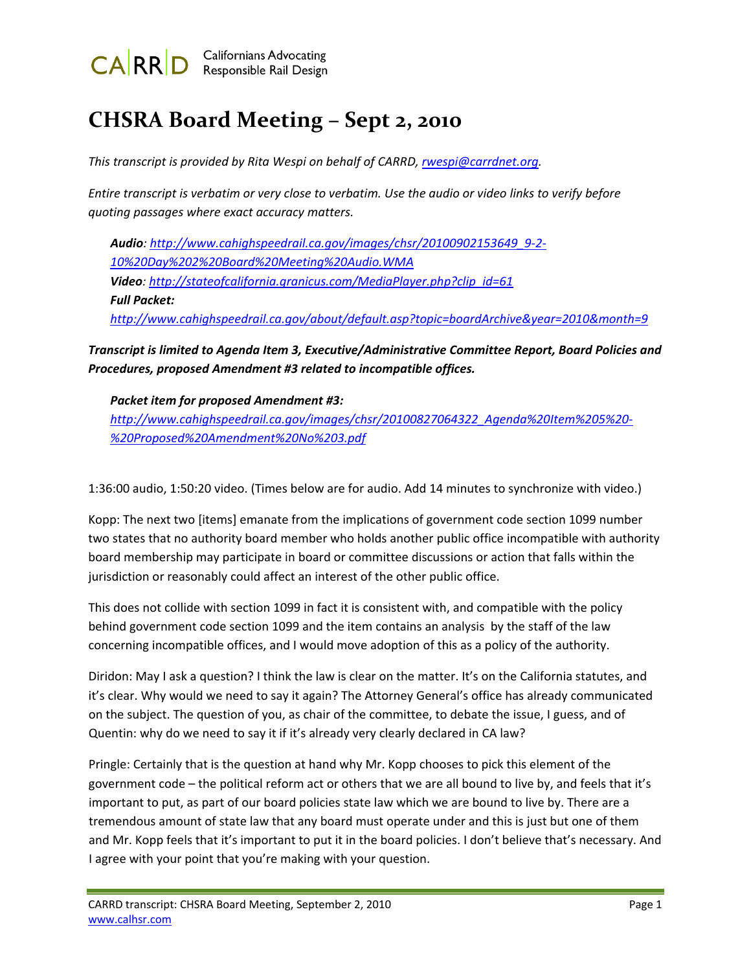

# **CHSRA Board Meeting – Sept 2, 2010**

*This transcript is provided by Rita Wespi on behalf of CARRD, [rwespi@carrdnet.org](mailto:rwespi@carrdnet.org).*

Entire transcript is verbatim or very close to verbatim. Use the audio or video links to verify before *quoting passages where exact accuracy matters.*

*Audio: [http://www.cahighspeedrail.ca.gov/images/chsr/20100902153649\\_9](http://www.cahighspeedrail.ca.gov/images/chsr/20100902153649_9-2-10%20Day%202%20Board%20Meeting%20Audio.WMA)‐2‐ [10%20Day%202%20Board%20Meeting%20Audio.WMA](http://www.cahighspeedrail.ca.gov/images/chsr/20100902153649_9-2-10%20Day%202%20Board%20Meeting%20Audio.WMA) Video: [http://stateofcalifornia.granicus.com/MediaPlayer.php?clip\\_id=61](http://stateofcalifornia.granicus.com/MediaPlayer.php?clip_id=61) Full Packet: <http://www.cahighspeedrail.ca.gov/about/default.asp?topic=boardArchive&year=2010&month=9>* 

*Transcript is limited to Agenda Item 3, Executive/Administrative Committee Report, Board Policies and Procedures, proposed Amendment #3 related to incompatible offices.*

*Packet item for proposed Amendment #3: [http://www.cahighspeedrail.ca.gov/images/chsr/20100827064322\\_Agenda%20Item%205%20](http://www.cahighspeedrail.ca.gov/images/chsr/20100827064322_Agenda%20Item%205%20-%20Proposed%20Amendment%20No%203.pdf)‐ [%20Proposed%20Amendment%20No%203.pdf](http://www.cahighspeedrail.ca.gov/images/chsr/20100827064322_Agenda%20Item%205%20-%20Proposed%20Amendment%20No%203.pdf)*

1:36:00 audio, 1:50:20 video. (Times below are for audio. Add 14 minutes to synchronize with video.)

Kopp: The next two [items] emanate from the implications of government code section 1099 number two states that no authority board member who holds another public office incompatible with authority board membership may participate in board or committee discussions or action that falls within the jurisdiction or reasonably could affect an interest of the other public office.

This does not collide with section 1099 in fact it is consistent with, and compatible with the policy behind government code section 1099 and the item contains an analysis by the staff of the law concerning incompatible offices, and I would move adoption of this as a policy of the authority.

Diridon: May I ask a question? I think the law is clear on the matter. It's on the California statutes, and it's clear. Why would we need to say it again? The Attorney General's office has already communicated on the subject. The question of you, as chair of the committee, to debate the issue, I guess, and of Quentin: why do we need to say it if it's already very clearly declared in CA law?

Pringle: Certainly that is the question at hand why Mr. Kopp chooses to pick this element of the government code – the political reform act or others that we are all bound to live by, and feels that it's important to put, as part of our board policies state law which we are bound to live by. There are a tremendous amount of state law that any board must operate under and this is just but one of them and Mr. Kopp feels that it's important to put it in the board policies. I don't believe that's necessary. And I agree with your point that you're making with your question.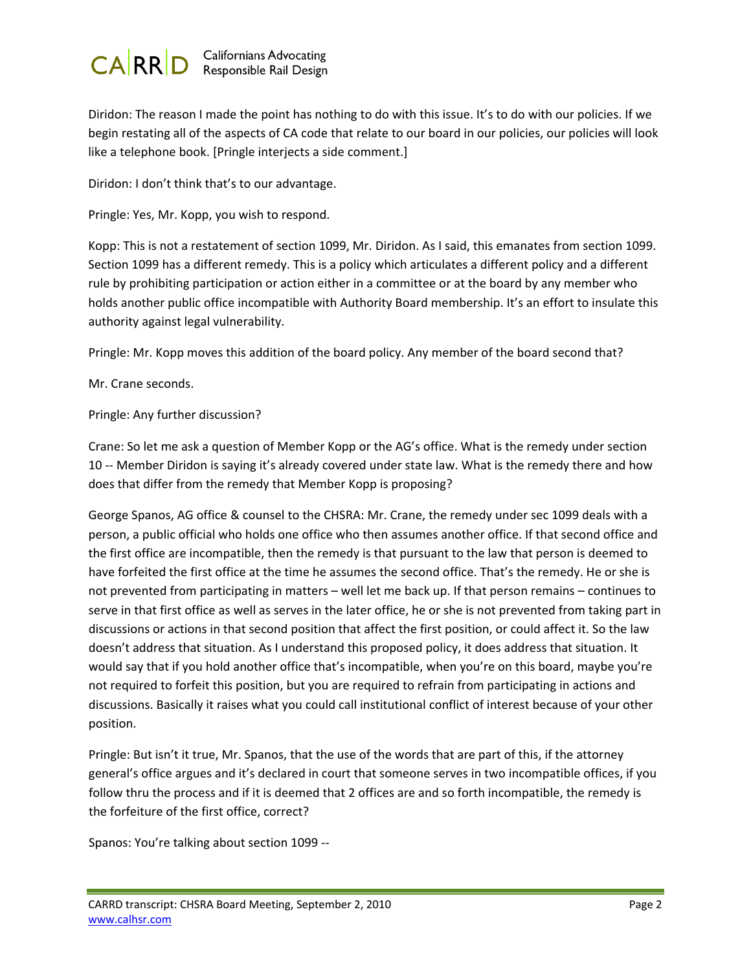

Diridon: The reason I made the point has nothing to do with this issue. It's to do with our policies. If we begin restating all of the aspects of CA code that relate to our board in our policies, our policies will look like a telephone book. [Pringle interjects a side comment.]

Diridon: I don't think that's to our advantage.

Pringle: Yes, Mr. Kopp, you wish to respond.

Kopp: This is not a restatement of section 1099, Mr. Diridon. As I said, this emanates from section 1099. Section 1099 has a different remedy. This is a policy which articulates a different policy and a different rule by prohibiting participation or action either in a committee or at the board by any member who holds another public office incompatible with Authority Board membership. It's an effort to insulate this authority against legal vulnerability.

Pringle: Mr. Kopp moves this addition of the board policy. Any member of the board second that?

Mr. Crane seconds.

Pringle: Any further discussion?

Crane: So let me ask a question of Member Kopp or the AG's office. What is the remedy under section 10 -- Member Diridon is saying it's already covered under state law. What is the remedy there and how does that differ from the remedy that Member Kopp is proposing?

George Spanos, AG office & counsel to the CHSRA: Mr. Crane, the remedy under sec 1099 deals with a person, a public official who holds one office who then assumes another office. If that second office and the first office are incompatible, then the remedy is that pursuant to the law that person is deemed to have forfeited the first office at the time he assumes the second office. That's the remedy. He or she is not prevented from participating in matters – well let me back up. If that person remains – continues to serve in that first office as well as serves in the later office, he or she is not prevented from taking part in discussions or actions in that second position that affect the first position, or could affect it. So the law doesn't address that situation. As I understand this proposed policy, it does address that situation. It would say that if you hold another office that's incompatible, when you're on this board, maybe you're not required to forfeit this position, but you are required to refrain from participating in actions and discussions. Basically it raises what you could call institutional conflict of interest because of your other position.

Pringle: But isn't it true, Mr. Spanos, that the use of the words that are part of this, if the attorney general's office argues and it's declared in court that someone serves in two incompatible offices, if you follow thru the process and if it is deemed that 2 offices are and so forth incompatible, the remedy is the forfeiture of the first office, correct?

Spanos: You're talking about section 1099 ‐‐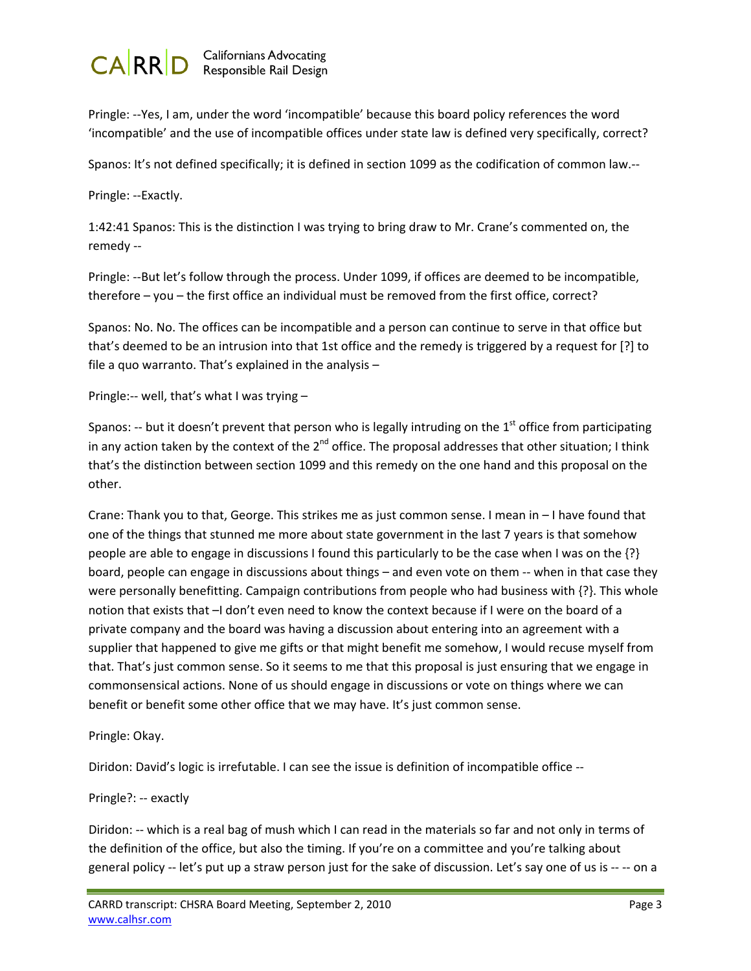

Pringle: ‐‐Yes, I am, under the word 'incompatible' because this board policy references the word 'incompatible' and the use of incompatible offices under state law is defined very specifically, correct?

Spanos: It's not defined specifically; it is defined in section 1099 as the codification of common law.‐‐

Pringle: ‐‐Exactly.

1:42:41 Spanos: This is the distinction I was trying to bring draw to Mr. Crane's commented on, the remedy ‐‐

Pringle: ‐‐But let's follow through the process. Under 1099, if offices are deemed to be incompatible, therefore – you – the first office an individual must be removed from the first office, correct?

Spanos: No. No. The offices can be incompatible and a person can continue to serve in that office but that's deemed to be an intrusion into that 1st office and the remedy is triggered by a request for [?] to file a quo warranto. That's explained in the analysis –

Pringle:‐‐ well, that's what I was trying –

Spanos: -- but it doesn't prevent that person who is legally intruding on the  $1<sup>st</sup>$  office from participating in any action taken by the context of the  $2^{nd}$  office. The proposal addresses that other situation; I think that's the distinction between section 1099 and this remedy on the one hand and this proposal on the other.

Crane: Thank you to that, George. This strikes me as just common sense. I mean in – I have found that one of the things that stunned me more about state government in the last 7 years is that somehow people are able to engage in discussions I found this particularly to be the case when I was on the {?} board, people can engage in discussions about things – and even vote on them ‐‐ when in that case they were personally benefitting. Campaign contributions from people who had business with {?}. This whole notion that exists that –I don't even need to know the context because if I were on the board of a private company and the board was having a discussion about entering into an agreement with a supplier that happened to give me gifts or that might benefit me somehow, I would recuse myself from that. That's just common sense. So it seems to me that this proposal is just ensuring that we engage in commonsensical actions. None of us should engage in discussions or vote on things where we can benefit or benefit some other office that we may have. It's just common sense.

Pringle: Okay.

Diridon: David's logic is irrefutable. I can see the issue is definition of incompatible office --

## Pringle?: ‐‐ exactly

Diridon: -- which is a real bag of mush which I can read in the materials so far and not only in terms of the definition of the office, but also the timing. If you're on a committee and you're talking about general policy ‐‐ let's put up a straw person just for the sake of discussion. Let's say one of us is ‐‐ ‐‐ on a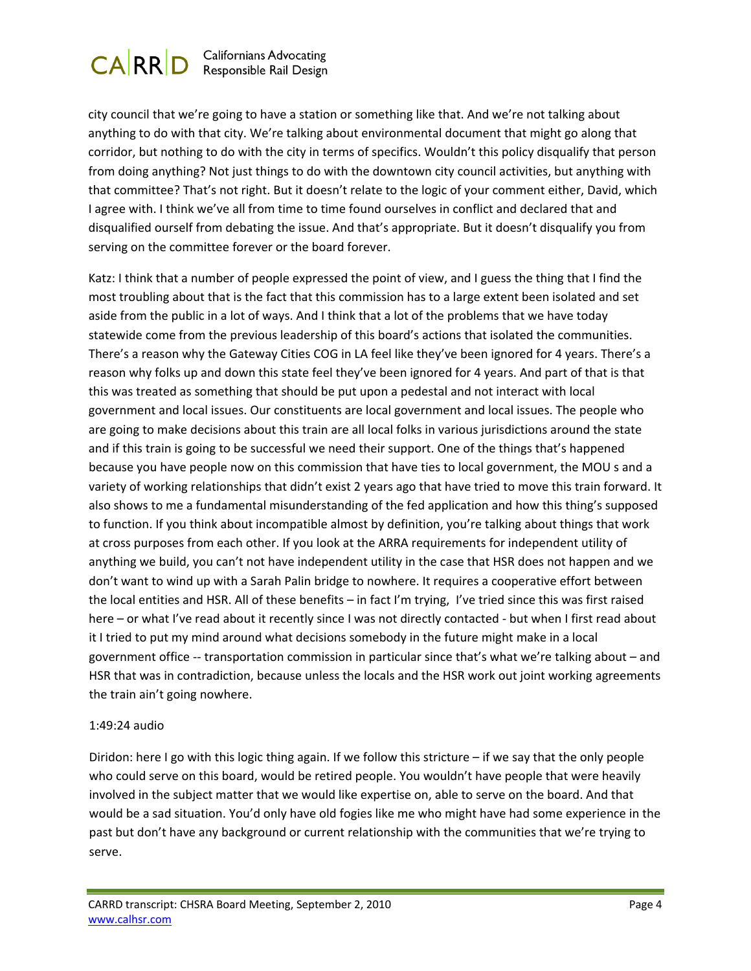

city council that we're going to have a station or something like that. And we're not talking about anything to do with that city. We're talking about environmental document that might go along that corridor, but nothing to do with the city in terms of specifics. Wouldn't this policy disqualify that person from doing anything? Not just things to do with the downtown city council activities, but anything with that committee? That's not right. But it doesn't relate to the logic of your comment either, David, which I agree with. I think we've all from time to time found ourselves in conflict and declared that and disqualified ourself from debating the issue. And that's appropriate. But it doesn't disqualify you from serving on the committee forever or the board forever.

Katz: I think that a number of people expressed the point of view, and I guess the thing that I find the most troubling about that is the fact that this commission has to a large extent been isolated and set aside from the public in a lot of ways. And I think that a lot of the problems that we have today statewide come from the previous leadership of this board's actions that isolated the communities. There's a reason why the Gateway Cities COG in LA feel like they've been ignored for 4 years. There's a reason why folks up and down this state feel they've been ignored for 4 years. And part of that is that this was treated as something that should be put upon a pedestal and not interact with local government and local issues. Our constituents are local government and local issues. The people who are going to make decisions about this train are all local folks in various jurisdictions around the state and if this train is going to be successful we need their support. One of the things that's happened because you have people now on this commission that have ties to local government, the MOU s and a variety of working relationships that didn't exist 2 years ago that have tried to move this train forward. It also shows to me a fundamental misunderstanding of the fed application and how this thing's supposed to function. If you think about incompatible almost by definition, you're talking about things that work at cross purposes from each other. If you look at the ARRA requirements for independent utility of anything we build, you can't not have independent utility in the case that HSR does not happen and we don't want to wind up with a Sarah Palin bridge to nowhere. It requires a cooperative effort between the local entities and HSR. All of these benefits – in fact I'm trying, I've tried since this was first raised here – or what I've read about it recently since I was not directly contacted - but when I first read about it I tried to put my mind around what decisions somebody in the future might make in a local government office ‐‐ transportation commission in particular since that's what we're talking about – and HSR that was in contradiction, because unless the locals and the HSR work out joint working agreements the train ain't going nowhere.

## 1:49:24 audio

Diridon: here I go with this logic thing again. If we follow this stricture – if we say that the only people who could serve on this board, would be retired people. You wouldn't have people that were heavily involved in the subject matter that we would like expertise on, able to serve on the board. And that would be a sad situation. You'd only have old fogies like me who might have had some experience in the past but don't have any background or current relationship with the communities that we're trying to serve.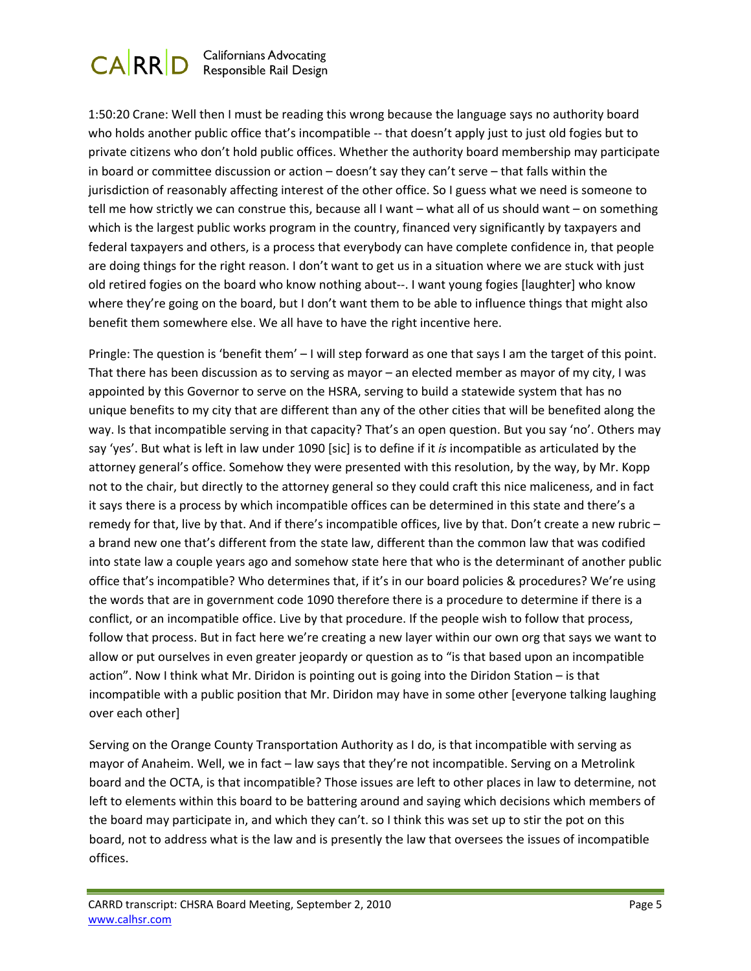

1:50:20 Crane: Well then I must be reading this wrong because the language says no authority board who holds another public office that's incompatible -- that doesn't apply just to just old fogies but to private citizens who don't hold public offices. Whether the authority board membership may participate in board or committee discussion or action – doesn't say they can't serve – that falls within the jurisdiction of reasonably affecting interest of the other office. So I guess what we need is someone to tell me how strictly we can construe this, because all I want – what all of us should want – on something which is the largest public works program in the country, financed very significantly by taxpayers and federal taxpayers and others, is a process that everybody can have complete confidence in, that people are doing things for the right reason. I don't want to get us in a situation where we are stuck with just old retired fogies on the board who know nothing about‐‐. I want young fogies [laughter] who know where they're going on the board, but I don't want them to be able to influence things that might also benefit them somewhere else. We all have to have the right incentive here.

Pringle: The question is 'benefit them' – I will step forward as one that says I am the target of this point. That there has been discussion as to serving as mayor – an elected member as mayor of my city, I was appointed by this Governor to serve on the HSRA, serving to build a statewide system that has no unique benefits to my city that are different than any of the other cities that will be benefited along the way. Is that incompatible serving in that capacity? That's an open question. But you say 'no'. Others may say 'yes'. But what is left in law under 1090 [sic] is to define if it *is* incompatible as articulated by the attorney general's office. Somehow they were presented with this resolution, by the way, by Mr. Kopp not to the chair, but directly to the attorney general so they could craft this nice maliceness, and in fact it says there is a process by which incompatible offices can be determined in this state and there's a remedy for that, live by that. And if there's incompatible offices, live by that. Don't create a new rubric – a brand new one that's different from the state law, different than the common law that was codified into state law a couple years ago and somehow state here that who is the determinant of another public office that's incompatible? Who determines that, if it's in our board policies & procedures? We're using the words that are in government code 1090 therefore there is a procedure to determine if there is a conflict, or an incompatible office. Live by that procedure. If the people wish to follow that process, follow that process. But in fact here we're creating a new layer within our own org that says we want to allow or put ourselves in even greater jeopardy or question as to "is that based upon an incompatible action". Now I think what Mr. Diridon is pointing out is going into the Diridon Station  $-$  is that incompatible with a public position that Mr. Diridon may have in some other [everyone talking laughing over each other]

Serving on the Orange County Transportation Authority as I do, is that incompatible with serving as mayor of Anaheim. Well, we in fact – law says that they're not incompatible. Serving on a Metrolink board and the OCTA, is that incompatible? Those issues are left to other places in law to determine, not left to elements within this board to be battering around and saying which decisions which members of the board may participate in, and which they can't. so I think this was set up to stir the pot on this board, not to address what is the law and is presently the law that oversees the issues of incompatible offices.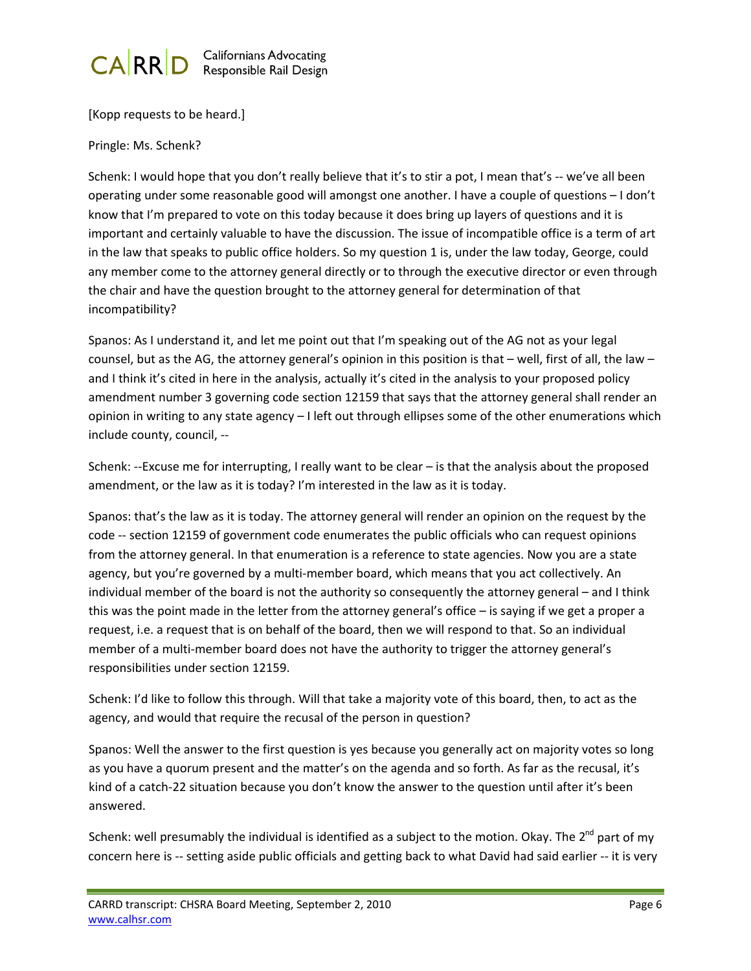

[Kopp requests to be heard.]

Pringle: Ms. Schenk?

Schenk: I would hope that you don't really believe that it's to stir a pot, I mean that's -- we've all been operating under some reasonable good will amongst one another. I have a couple of questions – I don't know that I'm prepared to vote on this today because it does bring up layers of questions and it is important and certainly valuable to have the discussion. The issue of incompatible office is a term of art in the law that speaks to public office holders. So my question 1 is, under the law today, George, could any member come to the attorney general directly or to through the executive director or even through the chair and have the question brought to the attorney general for determination of that incompatibility?

Spanos: As I understand it, and let me point out that I'm speaking out of the AG not as your legal counsel, but as the AG, the attorney general's opinion in this position is that – well, first of all, the law – and I think it's cited in here in the analysis, actually it's cited in the analysis to your proposed policy amendment number 3 governing code section 12159 that says that the attorney general shall render an opinion in writing to any state agency – I left out through ellipses some of the other enumerations which include county, council, ‐‐

Schenk: ‐‐Excuse me for interrupting, I really want to be clear – is that the analysis about the proposed amendment, or the law as it is today? I'm interested in the law as it is today.

Spanos: that's the law as it is today. The attorney general will render an opinion on the request by the code ‐‐ section 12159 of government code enumerates the public officials who can request opinions from the attorney general. In that enumeration is a reference to state agencies. Now you are a state agency, but you're governed by a multi-member board, which means that you act collectively. An individual member of the board is not the authority so consequently the attorney general – and I think this was the point made in the letter from the attorney general's office – is saying if we get a proper a request, i.e. a request that is on behalf of the board, then we will respond to that. So an individual member of a multi-member board does not have the authority to trigger the attorney general's responsibilities under section 12159.

Schenk: I'd like to follow this through. Will that take a majority vote of this board, then, to act as the agency, and would that require the recusal of the person in question?

Spanos: Well the answer to the first question is yes because you generally act on majority votes so long as you have a quorum present and the matter's on the agenda and so forth. As far as the recusal, it's kind of a catch-22 situation because you don't know the answer to the question until after it's been answered.

Schenk: well presumably the individual is identified as a subject to the motion. Okay. The  $2^{nd}$  part of my concern here is -- setting aside public officials and getting back to what David had said earlier -- it is very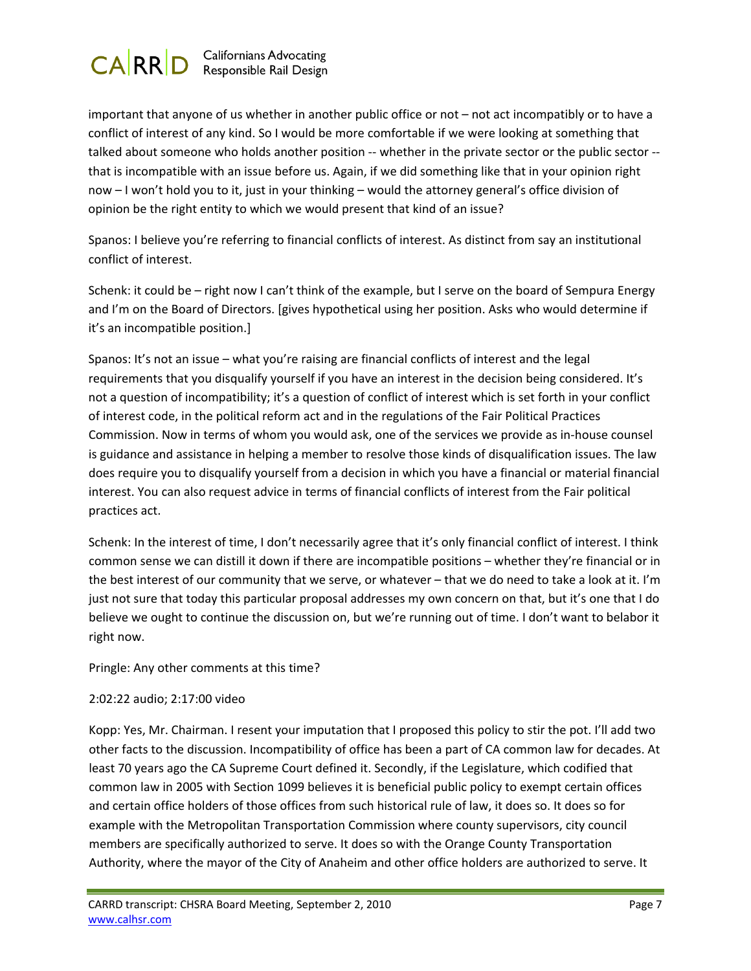

important that anyone of us whether in another public office or not – not act incompatibly or to have a conflict of interest of any kind. So I would be more comfortable if we were looking at something that talked about someone who holds another position ‐‐ whether in the private sector or the public sector ‐‐ that is incompatible with an issue before us. Again, if we did something like that in your opinion right now – I won't hold you to it, just in your thinking – would the attorney general's office division of opinion be the right entity to which we would present that kind of an issue?

Spanos: I believe you're referring to financial conflicts of interest. As distinct from say an institutional conflict of interest.

Schenk: it could be – right now I can't think of the example, but I serve on the board of Sempura Energy and I'm on the Board of Directors. [gives hypothetical using her position. Asks who would determine if it's an incompatible position.]

Spanos: It's not an issue – what you're raising are financial conflicts of interest and the legal requirements that you disqualify yourself if you have an interest in the decision being considered. It's not a question of incompatibility; it's a question of conflict of interest which is set forth in your conflict of interest code, in the political reform act and in the regulations of the Fair Political Practices Commission. Now in terms of whom you would ask, one of the services we provide as in‐house counsel is guidance and assistance in helping a member to resolve those kinds of disqualification issues. The law does require you to disqualify yourself from a decision in which you have a financial or material financial interest. You can also request advice in terms of financial conflicts of interest from the Fair political practices act.

Schenk: In the interest of time, I don't necessarily agree that it's only financial conflict of interest. I think common sense we can distill it down if there are incompatible positions – whether they're financial or in the best interest of our community that we serve, or whatever – that we do need to take a look at it. I'm just not sure that today this particular proposal addresses my own concern on that, but it's one that I do believe we ought to continue the discussion on, but we're running out of time. I don't want to belabor it right now.

Pringle: Any other comments at this time?

## 2:02:22 audio; 2:17:00 video

Kopp: Yes, Mr. Chairman. I resent your imputation that I proposed this policy to stir the pot. I'll add two other facts to the discussion. Incompatibility of office has been a part of CA common law for decades. At least 70 years ago the CA Supreme Court defined it. Secondly, if the Legislature, which codified that common law in 2005 with Section 1099 believes it is beneficial public policy to exempt certain offices and certain office holders of those offices from such historical rule of law, it does so. It does so for example with the Metropolitan Transportation Commission where county supervisors, city council members are specifically authorized to serve. It does so with the Orange County Transportation Authority, where the mayor of the City of Anaheim and other office holders are authorized to serve. It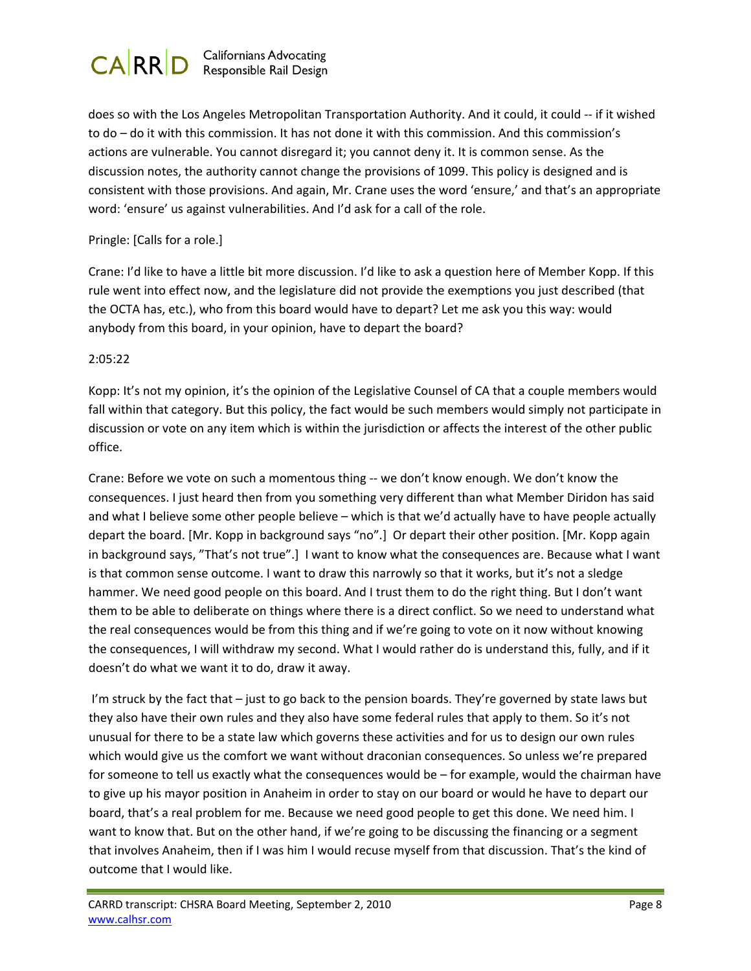

does so with the Los Angeles Metropolitan Transportation Authority. And it could, it could ‐‐ if it wished to do – do it with this commission. It has not done it with this commission. And this commission's actions are vulnerable. You cannot disregard it; you cannot deny it. It is common sense. As the discussion notes, the authority cannot change the provisions of 1099. This policy is designed and is consistent with those provisions. And again, Mr. Crane uses the word 'ensure,' and that's an appropriate word: 'ensure' us against vulnerabilities. And I'd ask for a call of the role.

## Pringle: [Calls for a role.]

Crane: I'd like to have a little bit more discussion. I'd like to ask a question here of Member Kopp. If this rule went into effect now, and the legislature did not provide the exemptions you just described (that the OCTA has, etc.), who from this board would have to depart? Let me ask you this way: would anybody from this board, in your opinion, have to depart the board?

## 2:05:22

Kopp: It's not my opinion, it's the opinion of the Legislative Counsel of CA that a couple members would fall within that category. But this policy, the fact would be such members would simply not participate in discussion or vote on any item which is within the jurisdiction or affects the interest of the other public office.

Crane: Before we vote on such a momentous thing ‐‐ we don't know enough. We don't know the consequences. I just heard then from you something very different than what Member Diridon has said and what I believe some other people believe – which is that we'd actually have to have people actually depart the board. [Mr. Kopp in background says "no".] Or depart their other position. [Mr. Kopp again in background says, "That's not true".] I want to know what the consequences are. Because what I want is that common sense outcome. I want to draw this narrowly so that it works, but it's not a sledge hammer. We need good people on this board. And I trust them to do the right thing. But I don't want them to be able to deliberate on things where there is a direct conflict. So we need to understand what the real consequences would be from this thing and if we're going to vote on it now without knowing the consequences, I will withdraw my second. What I would rather do is understand this, fully, and if it doesn't do what we want it to do, draw it away.

I'm struck by the fact that – just to go back to the pension boards. They're governed by state laws but they also have their own rules and they also have some federal rules that apply to them. So it's not unusual for there to be a state law which governs these activities and for us to design our own rules which would give us the comfort we want without draconian consequences. So unless we're prepared for someone to tell us exactly what the consequences would be – for example, would the chairman have to give up his mayor position in Anaheim in order to stay on our board or would he have to depart our board, that's a real problem for me. Because we need good people to get this done. We need him. I want to know that. But on the other hand, if we're going to be discussing the financing or a segment that involves Anaheim, then if I was him I would recuse myself from that discussion. That's the kind of outcome that I would like.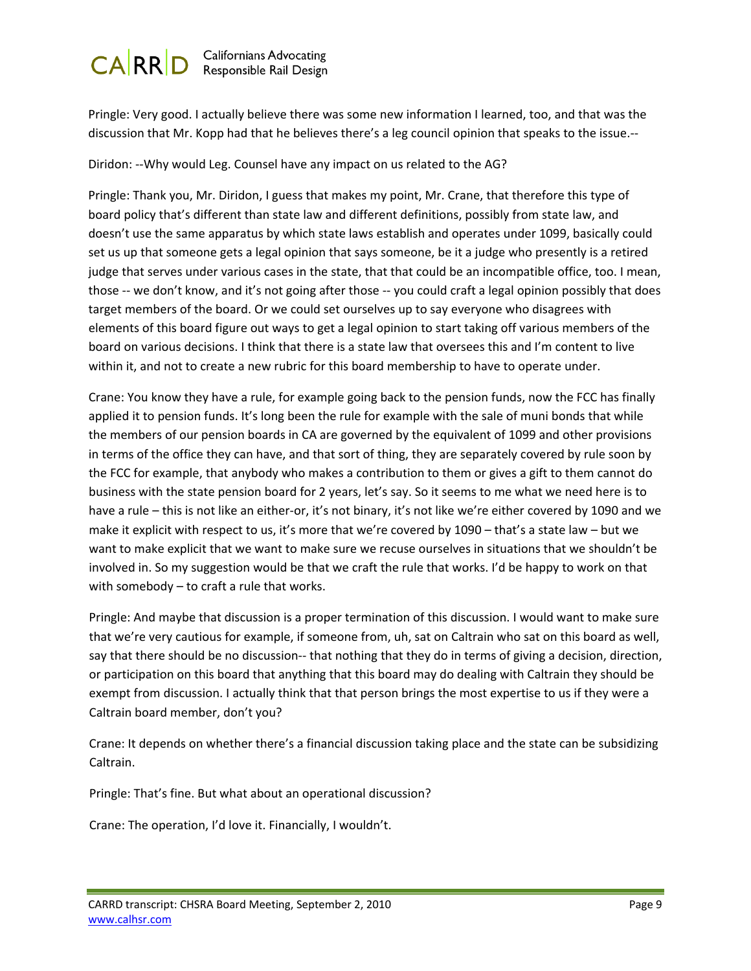

Pringle: Very good. I actually believe there was some new information I learned, too, and that was the discussion that Mr. Kopp had that he believes there's a leg council opinion that speaks to the issue.‐‐

Diridon: ‐‐Why would Leg. Counsel have any impact on us related to the AG?

Pringle: Thank you, Mr. Diridon, I guess that makes my point, Mr. Crane, that therefore this type of board policy that's different than state law and different definitions, possibly from state law, and doesn't use the same apparatus by which state laws establish and operates under 1099, basically could set us up that someone gets a legal opinion that says someone, be it a judge who presently is a retired judge that serves under various cases in the state, that that could be an incompatible office, too. I mean, those -- we don't know, and it's not going after those -- you could craft a legal opinion possibly that does target members of the board. Or we could set ourselves up to say everyone who disagrees with elements of this board figure out ways to get a legal opinion to start taking off various members of the board on various decisions. I think that there is a state law that oversees this and I'm content to live within it, and not to create a new rubric for this board membership to have to operate under.

Crane: You know they have a rule, for example going back to the pension funds, now the FCC has finally applied it to pension funds. It's long been the rule for example with the sale of muni bonds that while the members of our pension boards in CA are governed by the equivalent of 1099 and other provisions in terms of the office they can have, and that sort of thing, they are separately covered by rule soon by the FCC for example, that anybody who makes a contribution to them or gives a gift to them cannot do business with the state pension board for 2 years, let's say. So it seems to me what we need here is to have a rule – this is not like an either-or, it's not binary, it's not like we're either covered by 1090 and we make it explicit with respect to us, it's more that we're covered by 1090 – that's a state law – but we want to make explicit that we want to make sure we recuse ourselves in situations that we shouldn't be involved in. So my suggestion would be that we craft the rule that works. I'd be happy to work on that with somebody – to craft a rule that works.

Pringle: And maybe that discussion is a proper termination of this discussion. I would want to make sure that we're very cautious for example, if someone from, uh, sat on Caltrain who sat on this board as well, say that there should be no discussion-- that nothing that they do in terms of giving a decision, direction, or participation on this board that anything that this board may do dealing with Caltrain they should be exempt from discussion. I actually think that that person brings the most expertise to us if they were a Caltrain board member, don't you?

Crane: It depends on whether there's a financial discussion taking place and the state can be subsidizing Caltrain.

Pringle: That's fine. But what about an operational discussion?

Crane: The operation, I'd love it. Financially, I wouldn't.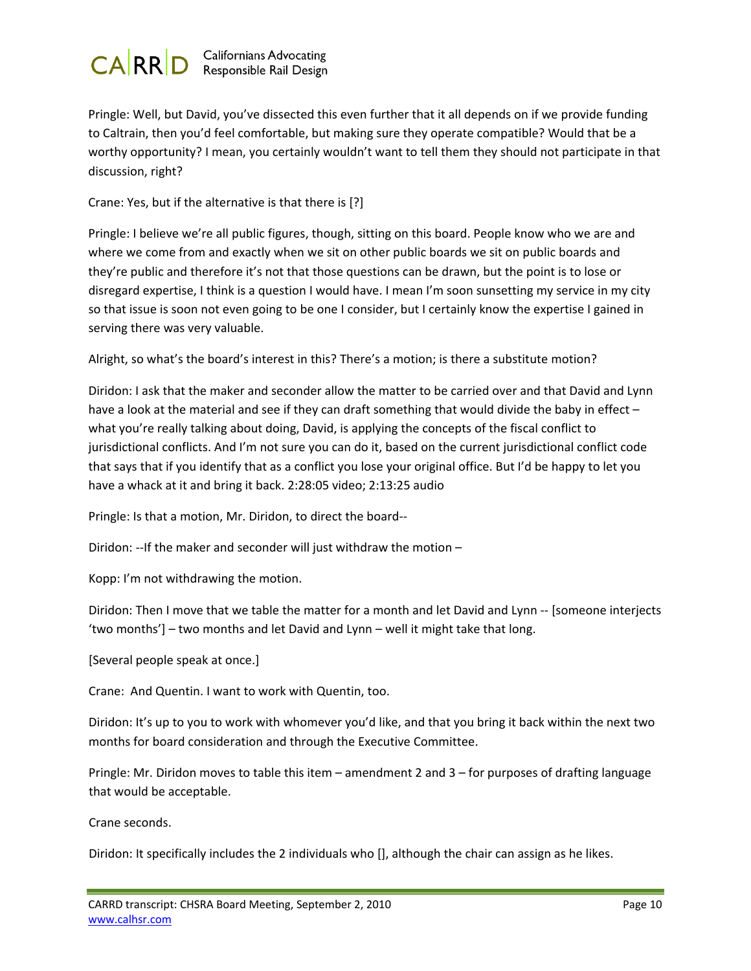

Pringle: Well, but David, you've dissected this even further that it all depends on if we provide funding to Caltrain, then you'd feel comfortable, but making sure they operate compatible? Would that be a worthy opportunity? I mean, you certainly wouldn't want to tell them they should not participate in that discussion, right?

Crane: Yes, but if the alternative is that there is [?]

Pringle: I believe we're all public figures, though, sitting on this board. People know who we are and where we come from and exactly when we sit on other public boards we sit on public boards and they're public and therefore it's not that those questions can be drawn, but the point is to lose or disregard expertise, I think is a question I would have. I mean I'm soon sunsetting my service in my city so that issue is soon not even going to be one I consider, but I certainly know the expertise I gained in serving there was very valuable.

Alright, so what's the board's interest in this? There's a motion; is there a substitute motion?

Diridon: I ask that the maker and seconder allow the matter to be carried over and that David and Lynn have a look at the material and see if they can draft something that would divide the baby in effect – what you're really talking about doing, David, is applying the concepts of the fiscal conflict to jurisdictional conflicts. And I'm not sure you can do it, based on the current jurisdictional conflict code that says that if you identify that as a conflict you lose your original office. But I'd be happy to let you have a whack at it and bring it back. 2:28:05 video; 2:13:25 audio

Pringle: Is that a motion, Mr. Diridon, to direct the board‐‐

Diridon: --If the maker and seconder will just withdraw the motion -

Kopp: I'm not withdrawing the motion.

Diridon: Then I move that we table the matter for a month and let David and Lynn ‐‐ [someone interjects 'two months'] – two months and let David and Lynn – well it might take that long.

[Several people speak at once.]

Crane: And Quentin. I want to work with Quentin, too.

Diridon: It's up to you to work with whomever you'd like, and that you bring it back within the next two months for board consideration and through the Executive Committee.

Pringle: Mr. Diridon moves to table this item – amendment 2 and 3 – for purposes of drafting language that would be acceptable.

Crane seconds.

Diridon: It specifically includes the 2 individuals who [], although the chair can assign as he likes.